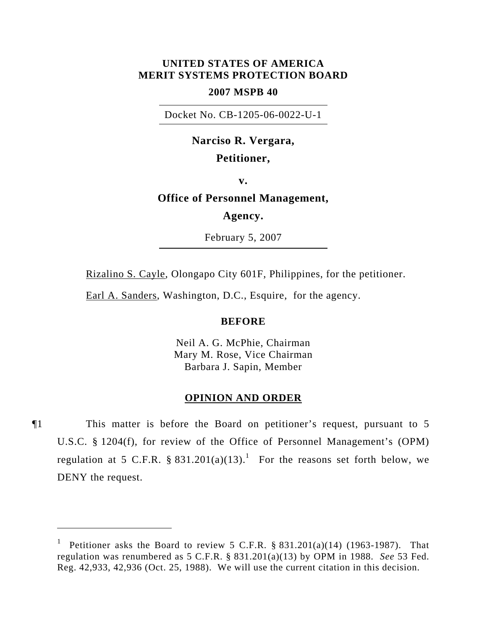## **UNITED STATES OF AMERICA MERIT SYSTEMS PROTECTION BOARD**

## **2007 MSPB 40**

Docket No. CB-1205-06-0022-U-1

# **Narciso R. Vergara,**

# **Petitioner,**

**v.** 

# **Office of Personnel Management,**

**Agency.** 

February 5, 2007

Rizalino S. Cayle, Olongapo City 601F, Philippines, for the petitioner.

Earl A. Sanders, Washington, D.C., Esquire, for the agency.

### **BEFORE**

Neil A. G. McPhie, Chairman Mary M. Rose, Vice Chairman Barbara J. Sapin, Member

#### **OPINION AND ORDER**

¶1 This matter is before the Board on petitioner's request, pursuant to 5 U.S.C. § 1204(f), for review of the Office of Personnel Management's (OPM) regulation at 5 C.F.R.  $\S 831.201(a)(13)$ .<sup>1</sup> For the reasons set forth below, we DENY the request.

<sup>1</sup> Petitioner asks the Board to review 5 C.F.R.  $§ 831.201(a)(14)$  (1963-1987). That regulation was renumbered as 5 C.F.R. § 831.201(a)(13) by OPM in 1988. *See* 53 Fed. Reg. 42,933, 42,936 (Oct. 25, 1988). We will use the current citation in this decision.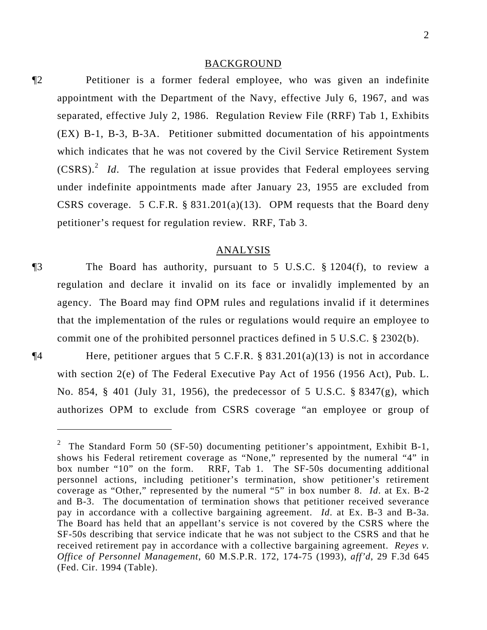#### BACKGROUND

¶2 Petitioner is a former federal employee, who was given an indefinite appointment with the Department of the Navy, effective July 6, 1967, and was separated, effective July 2, 1986. Regulation Review File (RRF) Tab 1, Exhibits (EX) B-1, B-3, B-3A. Petitioner submitted documentation of his appointments which indicates that he was not covered by the Civil Service Retirement System (CSRS).<sup>2</sup> *Id*. The regulation at issue provides that Federal employees serving under indefinite appointments made after January 23, 1955 are excluded from CSRS coverage. 5 C.F.R.  $\S$  831.201(a)(13). OPM requests that the Board deny petitioner's request for regulation review. RRF, Tab 3.

## ANALYSIS

- ¶3 The Board has authority, pursuant to 5 U.S.C. § 1204(f), to review a regulation and declare it invalid on its face or invalidly implemented by an agency. The Board may find OPM rules and regulations invalid if it determines that the implementation of the rules or regulations would require an employee to commit one of the prohibited personnel practices defined in 5 U.S.C. § 2302(b).
- 

 $\overline{a}$ 

 $\P$ **4** Here, petitioner argues that 5 C.F.R. § 831.201(a)(13) is not in accordance with section 2(e) of The Federal Executive Pay Act of 1956 (1956 Act), Pub. L. No. 854, § 401 (July 31, 1956), the predecessor of 5 U.S.C. § 8347(g), which authorizes OPM to exclude from CSRS coverage "an employee or group of

<sup>&</sup>lt;sup>2</sup> The Standard Form 50 (SF-50) documenting petitioner's appointment, Exhibit B-1, shows his Federal retirement coverage as "None," represented by the numeral "4" in box number "10" on the form. RRF, Tab 1. The SF-50s documenting additional personnel actions, including petitioner's termination, show petitioner's retirement coverage as "Other," represented by the numeral "5" in box number 8. *Id*. at Ex. B-2 and B-3. The documentation of termination shows that petitioner received severance pay in accordance with a collective bargaining agreement. *Id*. at Ex. B-3 and B-3a. The Board has held that an appellant's service is not covered by the CSRS where the SF-50s describing that service indicate that he was not subject to the CSRS and that he received retirement pay in accordance with a collective bargaining agreement. *Reyes v. Office of Personnel Management*, 60 M.S.P.R. 172, 174-75 (1993), *aff'd*, 29 F.3d 645 (Fed. Cir. 1994 (Table).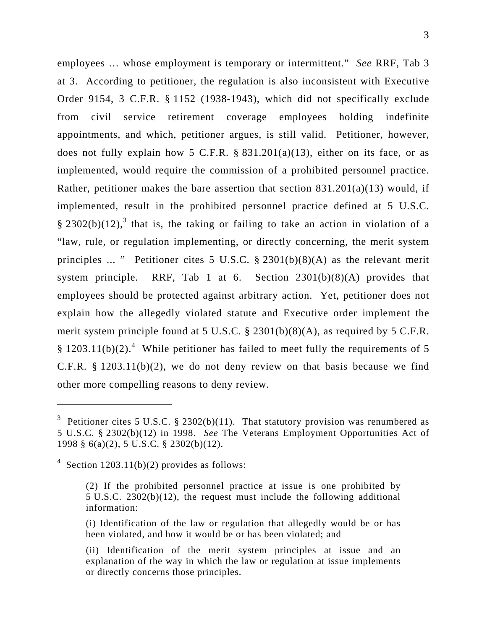employees … whose employment is temporary or intermittent." *See* RRF, Tab 3 at 3. According to petitioner, the regulation is also inconsistent with Executive Order 9154, 3 C.F.R. § 1152 (1938-1943), which did not specifically exclude from civil service retirement coverage employees holding indefinite appointments, and which, petitioner argues, is still valid. Petitioner, however, does not fully explain how 5 C.F.R.  $\S$  831.201(a)(13), either on its face, or as implemented, would require the commission of a prohibited personnel practice. Rather, petitioner makes the bare assertion that section  $831.201(a)(13)$  would, if implemented, result in the prohibited personnel practice defined at 5 U.S.C. § 2302(b)(12),<sup>3</sup> that is, the taking or failing to take an action in violation of a "law, rule, or regulation implementing, or directly concerning, the merit system principles ... " Petitioner cites 5 U.S.C.  $\S$  2301(b)(8)(A) as the relevant merit system principle. RRF, Tab 1 at 6. Section  $2301(b)(8)(A)$  provides that employees should be protected against arbitrary action. Yet, petitioner does not explain how the allegedly violated statute and Executive order implement the merit system principle found at 5 U.S.C. § 2301(b)(8)(A), as required by 5 C.F.R. § 1203.11(b)(2).<sup>4</sup> While petitioner has failed to meet fully the requirements of 5 C.F.R.  $§$  1203.11(b)(2), we do not deny review on that basis because we find other more compelling reasons to deny review.

 $\overline{a}$ 

<sup>&</sup>lt;sup>3</sup> Petitioner cites 5 U.S.C. § 2302(b)(11). That statutory provision was renumbered as 5 U.S.C. § 2302(b)(12) in 1998. *See* The Veterans Employment Opportunities Act of 1998 § 6(a)(2), 5 U.S.C. § 2302(b)(12).

 $4$  Section 1203.11(b)(2) provides as follows:

<sup>(2)</sup> If the prohibited personnel practice at issue is one prohibited by 5 U.S.C. 2302(b)(12), the request must include the following additional information:

<sup>(</sup>i) Identification of the law or regulation that allegedly would be or has been violated, and how it would be or has been violated; and

<sup>(</sup>ii) Identification of the merit system principles at issue and an explanation of the way in which the law or regulation at issue implements or directly concerns those principles.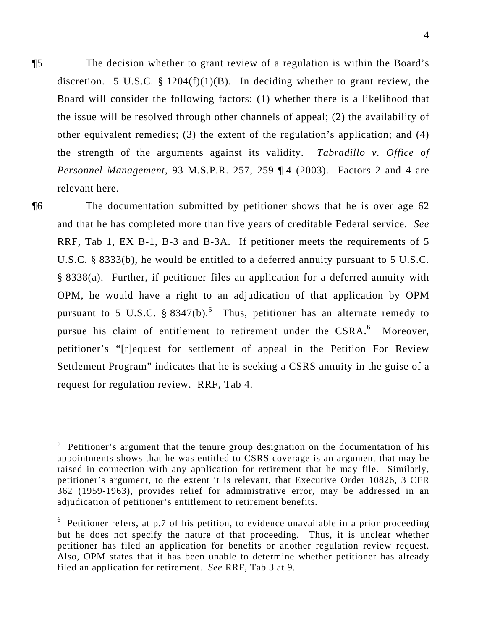¶5 The decision whether to grant review of a regulation is within the Board's discretion. 5 U.S.C. §  $1204(f)(1)(B)$ . In deciding whether to grant review, the Board will consider the following factors: (1) whether there is a likelihood that the issue will be resolved through other channels of appeal; (2) the availability of other equivalent remedies; (3) the extent of the regulation's application; and (4) the strength of the arguments against its validity. *Tabradillo v. Office of Personnel Management*, 93 M.S.P.R. 257, 259 ¶ 4 (2003). Factors 2 and 4 are relevant here.

 $\overline{a}$ 

¶6 The documentation submitted by petitioner shows that he is over age 62 and that he has completed more than five years of creditable Federal service. *See* RRF, Tab 1, EX B-1, B-3 and B-3A. If petitioner meets the requirements of 5 U.S.C. § 8333(b), he would be entitled to a deferred annuity pursuant to 5 U.S.C. § 8338(a). Further, if petitioner files an application for a deferred annuity with OPM, he would have a right to an adjudication of that application by OPM pursuant to 5 U.S.C.  $\S 8347(b)$ .<sup>5</sup> Thus, petitioner has an alternate remedy to pursue his claim of entitlement to retirement under the CSRA.<sup>6</sup> Moreover, petitioner's "[r]equest for settlement of appeal in the Petition For Review Settlement Program" indicates that he is seeking a CSRS annuity in the guise of a request for regulation review. RRF, Tab 4.

<sup>&</sup>lt;sup>5</sup> Petitioner's argument that the tenure group designation on the documentation of his appointments shows that he was entitled to CSRS coverage is an argument that may be raised in connection with any application for retirement that he may file. Similarly, petitioner's argument, to the extent it is relevant, that Executive Order 10826, 3 CFR 362 (1959-1963), provides relief for administrative error, may be addressed in an adjudication of petitioner's entitlement to retirement benefits.

 $6$  Petitioner refers, at p.7 of his petition, to evidence unavailable in a prior proceeding but he does not specify the nature of that proceeding. Thus, it is unclear whether petitioner has filed an application for benefits or another regulation review request. Also, OPM states that it has been unable to determine whether petitioner has already filed an application for retirement. *See* RRF, Tab 3 at 9.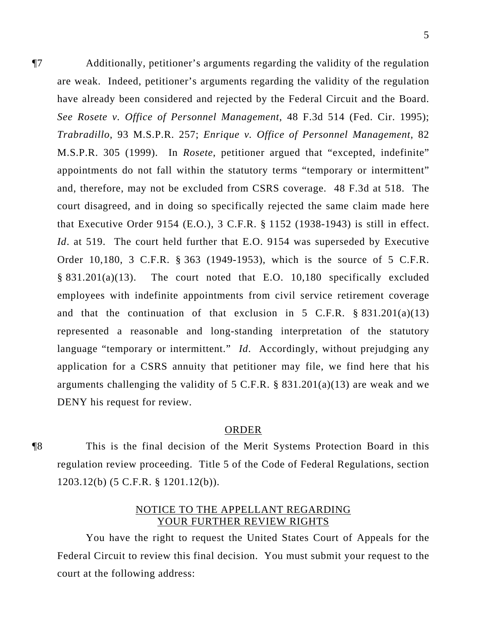¶7 Additionally, petitioner's arguments regarding the validity of the regulation are weak. Indeed, petitioner's arguments regarding the validity of the regulation have already been considered and rejected by the Federal Circuit and the Board. *See Rosete v. Office of Personnel Management*, 48 F.3d 514 (Fed. Cir. 1995); *Trabradillo*, 93 M.S.P.R. 257; *Enrique v. Office of Personnel Management*, 82 M.S.P.R. 305 (1999). In *Rosete*, petitioner argued that "excepted, indefinite" appointments do not fall within the statutory terms "temporary or intermittent" and, therefore, may not be excluded from CSRS coverage. 48 F.3d at 518. The court disagreed, and in doing so specifically rejected the same claim made here that Executive Order 9154 (E.O.), 3 C.F.R. § 1152 (1938-1943) is still in effect. *Id*. at 519. The court held further that E.O. 9154 was superseded by Executive Order 10,180, 3 C.F.R. § 363 (1949-1953), which is the source of 5 C.F.R. § 831.201(a)(13). The court noted that E.O. 10,180 specifically excluded employees with indefinite appointments from civil service retirement coverage and that the continuation of that exclusion in 5 C.F.R.  $\S 831.201(a)(13)$ represented a reasonable and long-standing interpretation of the statutory language "temporary or intermittent." *Id*. Accordingly, without prejudging any application for a CSRS annuity that petitioner may file, we find here that his arguments challenging the validity of 5 C.F.R.  $\S$  831.201(a)(13) are weak and we DENY his request for review.

## ORDER

¶8 This is the final decision of the Merit Systems Protection Board in this regulation review proceeding. Title 5 of the Code of Federal Regulations, section 1203.12(b) (5 C.F.R. § 1201.12(b)).

# NOTICE TO THE APPELLANT REGARDING YOUR FURTHER REVIEW RIGHTS

You have the right to request the United States Court of Appeals for the Federal Circuit to review this final decision. You must submit your request to the court at the following address: